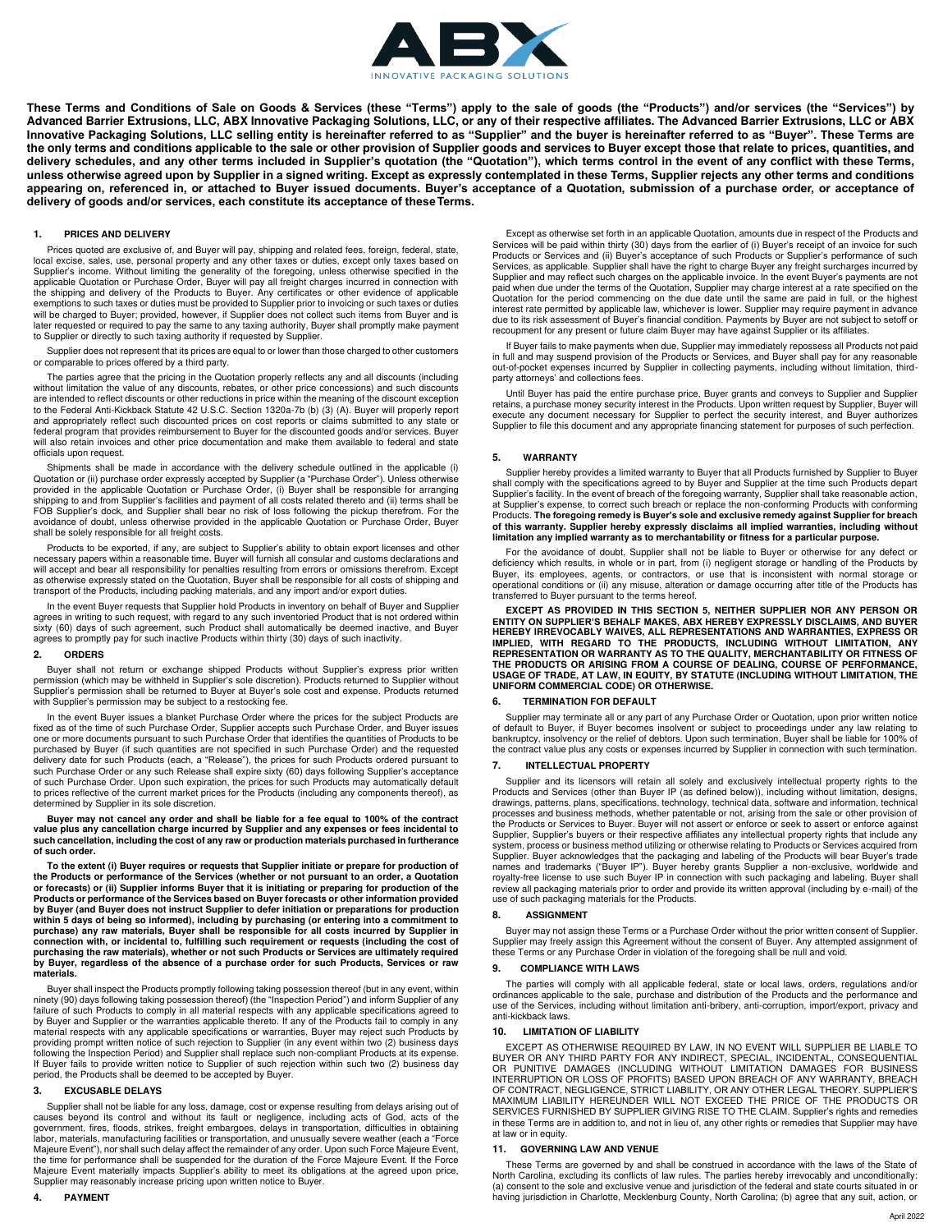

**These Terms and Conditions of Sale on Goods & Services (these "Terms") apply to the sale of goods (the "Products") and/or services (the "Services") by Advanced Barrier Extrusions, LLC, ABX Innovative Packaging Solutions, LLC, or any of their respective affiliates. The Advanced Barrier Extrusions, LLC or ABX Innovative Packaging Solutions, LLC selling entity is hereinafter referred to as "Supplier" and the buyer is hereinafter referred to as "Buyer". These Terms are the only terms and conditions applicable to the sale or other provision of Supplier goods and services to Buyer except those that relate to prices, quantities, and**  delivery schedules, and any other terms included in Supplier's quotation (the "Quotation"), which terms control in the event of any conflict with these Terms, **unless otherwise agreed upon by Supplier in a signed writing. Except as expressly contemplated in these Terms, Supplier rejects any other terms and conditions appearing on, referenced in, or attached to Buyer issued documents. Buyer's acceptance of a Quotation, submission of a purchase order, or acceptance of delivery of goods and/or services, each constitute its acceptance of these Terms.**

#### **1. PRICES AND DELIVERY**

Prices quoted are exclusive of, and Buyer will pay, shipping and related fees, foreign, federal, state,<br>local excise, sales, use, personal property and any other taxes or duties, except only taxes based on<br>Supplier's incom applicable Quotation or Purchase Order, Buyer will pay all freight charges incurred in connection with<br>the shipping and delivery of the Products to Buyer. Any certificates or other evidence of applicable<br>exemptions to such will be charged to Buyer; provided, however, if Supplier does not collect such items from Buyer and is later requested or required to pay the same to any taxing authority, Buyer shall promptly make payment to Supplier or directly to such taxing authority if requested by Supplier.

Supplier does not represent that its prices are equal to or lower than those charged to other customers or comparable to prices offered by a third party.

The parties agree that the pricing in the Quotation properly reflects any and all discounts (including without limitation the value of any discounts, rebates, or other price concessions) and such discounts are intended to reflect discounts or other reductions in price within the meaning of the discount exception to the Federal Anti-Kickback Statute 42 U.S.C. Section 1320a-7b (b) (3) (A). Buyer will properly report and appropriately reflect such discounted prices on cost reports or claims submitted to any state or federal program that provides reimbursement to Buyer for the discounted goods and/or services. Buyer will also retain invoices and other price documentation and make them available to federal and state officials upon request.

Shipments shall be made in accordance with the delivery schedule outlined in the applicable (i) Quotation or (ii) purchase order expressly accepted by Supplier (a "Purchase Order"). Unless otherwise provided in the applicable Quotation or Purchase Order, (i) Buyer shall be responsible for arranging shipping to and from Supplier's facilities and payment of all costs related thereto and (ii) terms shall be FOB Supplier's dock, and Supplier shall bear no risk of loss following the pickup therefrom. For the avoidance of doubt, unless otherwise provided in the applicable Quotation or Purchase Order, Buyer shall be solely responsible for all freight costs.

Products to be exported, if any, are subject to Supplier's ability to obtain export licenses and other necessary papers within a reasonable time. Buyer will furnish all consular and customs declarations and will accept and bear all responsibility for penalties resulting from errors or omissions therefrom. Except as otherwise expressly stated on the Quotation, Buyer shall be responsible for all costs of shipping and transport of the Products, including packing materials, and any import and/or export duties.

In the event Buyer requests that Supplier hold Products in inventory on behalf of Buyer and Supplier agrees in writing to such request, with regard to any such inventoried Product that is not ordered within sixty (60) days of such agreement, such Product shall automatically be deemed inactive, and Buyer agrees to promptly pay for such inactive Products within thirty (30) days of such inactivity.

#### **2. ORDERS**

Buyer shall not return or exchange shipped Products without Supplier's express prior written permission (which may be withheld in Supplier's sole discretion). Products returned to Supplier without<br>Supplier's permission shall be returned to Buyer at Buyer's sole cost and expense. Products returned with Supplier's permission may be subject to a restocking fee.

In the event Buyer issues a blanket Purchase Order where the prices for the subject Products are<br>fixed as of the time of such Purchase Order, Supplier accepts such Purchase Order, and Buyer issues<br>one or more documents pur purchased by Buyer (if such quantities are not specified in such Purchase Order) and the requested delivery date for such Products (each, a "Release"), the prices for such Products ordered pursuant to such Purchase Order or any such Release shall expire sixty (60) days following Supplier's acceptance<br>of such Purchase Order. Upon such expiration, the prices for such Products may automatically default<br>to prices reflective determined by Supplier in its sole discretion.

**Buyer may not cancel any order and shall be liable for a fee equal to 100% of the contract value plus any cancellation charge incurred by Supplier and any expenses or fees incidental to such cancellation, including the cost of any raw or production materials purchased in furtherance of such order.** 

**To the extent (i) Buyer requires or requests that Supplier initiate or prepare for production of**  the Products or performance of the Services (whether or not pursuant to an order, a Quotation<br>or forecasts) or (ii) Supplier informs Buyer that it is initiating or preparing for production of the<br>Products or performance of **within 5 days of being so informed), including by purchasing (or entering into a commitment to purchase) any raw materials, Buyer shall be responsible for all costs incurred by Supplier in connection with, or incidental to, fulfilling such requirement or requests (including the cost of purchasing the raw materials), whether or not such Products or Services are ultimately required by Buyer, regardless of the absence of a purchase order for such Products, Services or raw materials.** 

Buyer shall inspect the Products promptly following taking possession thereof (but in any event, within ninety (90) days following taking possession thereof) (the "Inspection Period") and inform Supplier of any failure of such Products to comply in all material respects with any applicable specifications agreed to by Buyer and Supplier or the warranties applicable thereto. If any of the Products fail to comply in any material respects with any applicable specifications or warranties, Buyer may reject such Products by providing prompt written notice of such rejection to Supplier (in any event within two (2) business days following the Inspection Period) and Supplier shall replace such non-compliant Products at its expense. If Buyer fails to provide written notice to Supplier of such rejection within such two (2) business day period, the Products shall be deemed to be accepted by Buyer.

#### **3. EXCUSABLE DELAYS**

Supplier shall not be liable for any loss, damage, cost or expense resulting from delays arising out of causes beyond its control and without its fault or negligence, including acts of God, acts of the government, fires, floods, strikes, freight embargoes, delays in transportation, difficulties in obtaining labor, materials, manufacturing facilities or transportation, and unusually severe weather (each a "Force Majeure Event"), nor shall such delay affect the remainder of any order. Upon such Force Majeure Event, the time for performance shall be suspended for the duration of the Force Majeure Event. If the Force Majeure Event materially impacts Supplier's ability to meet its obligations at the agreed upon price, Supplier may reasonably increase pricing upon written notice to Buyer.

Except as otherwise set forth in an applicable Quotation, amounts due in respect of the Products and Services will be paid within thirty (30) days from the earlier of (i) Buyer's receipt of an invoice for such<br>Products or Services and (ii) Buyer's acceptance of such Products or Supplier's performance of such<br>Services, as Supplier and may reflect such charges on the applicable invoice. In the event Buyer's payments are not paid when due under the terms of the Quotation, Supplier may charge interest at a rate specified on the Quotation for the period commencing on the due date until the same are paid in full, or the highest interest rate permitted by applicable law, whichever is lower. Supplier may require payment in advance due to its risk assessment of Buyer's financial condition. Payments by Buyer are not subject to setoff or recoupment for any present or future claim Buyer may have against Supplier or its affiliates.

If Buyer fails to make payments when due, Supplier may immediately repossess all Products not paid in full and may suspend provision of the Products or Services, and Buyer shall pay for any reasonable out-of-pocket expenses incurred by Supplier in collecting payments, including without limitation, thirdparty attorneys' and collections fees.

Until Buyer has paid the entire purchase price, Buyer grants and conveys to Supplier and Supplier retains, a purchase money security interest in the Products. Upon written request by Supplier, Buyer will execute any document necessary for Supplier to perfect the security interest, and Buyer authorizes Supplier to file this document and any appropriate financing statement for purposes of such perfection.

#### **5. WARRANTY**

Supplier hereby provides a limited warranty to Buyer that all Products furnished by Supplier to Buyer shall comply with the specifications agreed to by Buyer and Supplier at the time such Products depart Supplier's facility. In the event of breach of the foregoing warranty, Supplier shall take reasonable action, at Supplier's expense, to correct such breach or replace the non-conforming Products with conforming Products. **The foregoing remedy is Buyer's sole and exclusive remedy against Supplier for breach of this warranty. Supplier hereby expressly disclaims all implied warranties, including without limitation any implied warranty as to merchantability or fitness for a particular purpose.**

For the avoidance of doubt, Supplier shall not be liable to Buyer or otherwise for any defect or<br>deficiency which results, in whole or in part, from (i) negligent storage or handling of the Products by<br>Buyer, its employees operational conditions or (ii) any misuse, alteration or damage occurring after title of the Products has transferred to Buyer pursuant to the terms hereof.

**EXCEPT AS PROVIDED IN THIS SECTION 5, NEITHER SUPPLIER NOR ANY PERSON OR ENTITY ON SUPPLIER'S BEHALF MAKES, ABX HEREBY EXPRESSLY DISCLAIMS, AND BUYER**  HEREBY IRREVOCABLY WAIVES, ALL REPRESENTATIONS AND WARRANTIES, EXPRESS OR<br>IMPLIED, WITH REGARD TO THE PRODUCTS, INCLUDING WITHOUT LIMITATION, ANY<br>REPRESENTATION OR WARRANTY AS TO THE QUALITY, MERCHANTABILITY OR FI THE PRODUCTS OR ARISING FROM A COURSE OF DEALING, COURSE OF PERFORMANCE,<br>USAGE OF TRADE, AT LAW, IN EQUITY, BY STATUTE (INCLUDING WITHOUT LIMITATION, THE<br>UNIFORM COMMERCIAL CODE) OR OTHERWISE.

## **6. TERMINATION FOR DEFAULT**

Supplier may terminate all or any part of any Purchase Order or Quotation, upon prior written notice of default to Buyer, if Buyer becomes insolvent or subject to proceedings under any law relating to bankruptcy, insolvency or the relief of debtors. Upon such termination, Buyer shall be liable for 100% of the contract value plus any costs or expenses incurred by Supplier in connection with such termination.

## **7. INTELLECTUAL PROPERTY**

Supplier and its licensors will retain all solely and exclusively intellectual property rights to the Products and Services (other than Buyer IP (as defined below)), including without limitation, designs, drawings, patterns, plans, specifications, technology, technical data, software and information, technical processes and business methods, whether patentable or not, arising from the sale or other provision of the Products or Services to Buyer. Buyer will not assert or enforce or seek to assert or enforce against Supplier, Supplier's buyers or their respective affiliates any intellectual property rights that include any system, process or business method utilizing or otherwise relating to Products or Services acquired from Supplier. Buyer acknowledges that the packaging and labeling of the Products will bear Buyer's trade names and trademarks ("Buyer IP"). Buyer hereby grants Supplier a non-exclusive, worldwide and royalty-free license to use such Buyer IP in connection with such packaging and labeling. Buyer shall review all packaging materials prior to order and provide its written approval (including by e-mail) of the use of such packaging materials for the Products.

## **8. ASSIGNMENT**

Buyer may not assign these Terms or a Purchase Order without the prior written consent of Supplier.<br>Supplier may freely assign this Agreement without the consent of Buyer. Any attempted assignment of<br>these Terms or any Pur

## **9. COMPLIANCE WITH LAWS**

The parties will comply with all applicable federal, state or local laws, orders, regulations and/or ordinances applicable to the sale, purchase and distribution of the Products and the performance and use of the Services, including without limitation anti-bribery, anti-corruption, import/export, privacy and anti-kickback laws.

#### **10. LIMITATION OF LIABILITY**

EXCEPT AS OTHERWISE REQUIRED BY LAW, IN NO EVENT WILL SUPPLIER BE LIABLE TO BUYER OR ANY THIRD PARTY FOR ANY INDIRECT, SPECIAL, INCIDENTAL, CONSEQUENTIAL<br>OR PUNITIVE DAMAGES (INCLUDING WITHOUT LIMITATION DAMAGES FOR BUSINESS<br>INTERRUPTION OR LOSS OF PROFITS) BASED UPON BREACH OF ANY WARRANTY, BREAC OF CONTRACT, NEGLIGENCE, STRICT LIABILITY, OR ANY OTHER LEGAL THEORY. SUPPLIER'S MAXIMUM LIABILITY HEREUNDER WILL NOT EXCEED THE PRICE OF THE PRODUCTS OR SERVICES FURNISHED BY SUPPLIER GIVING RISE TO THE CLAIM. Supplier's rights and remedies in these Terms are in addition to, and not in lieu of, any other rights or remedies that Supplier may have at law or in equity.

## **11. GOVERNING LAW AND VENUE**

These Terms are governed by and shall be construed in accordance with the laws of the State of North Carolina, excluding its conflicts of law rules. The parties hereby irrevocably and unconditionally: (a) consent to the sole and exclusive venue and jurisdiction of the federal and state courts situated in or having jurisdiction in Charlotte, Mecklenburg County, North Carolina; (b) agree that any suit, action, or